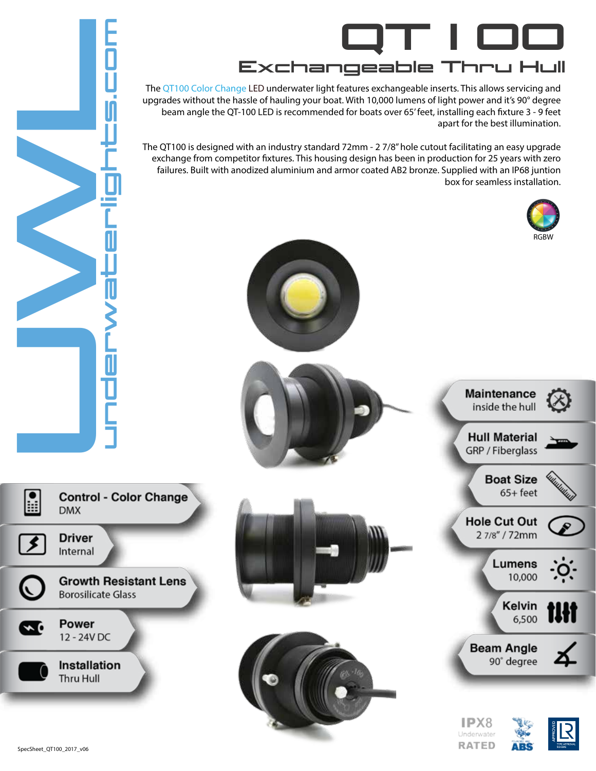

The QT100 Color Change LED underwater light features exchangeable inserts. This allows servicing and upgrades without the hassle of hauling your boat. With 10,000 lumens of light power and it's 90° degree beam angle the QT-100 LED is recommended for boats over 65' feet, installing each fixture 3 - 9 feet apart for the best illumination.

The QT100 is designed with an industry standard 72mm - 2 7/8" hole cutout facilitating an easy upgrade exchange from competitor fixtures. This housing design has been in production for 25 years with zero failures. Built with anodized aluminium and armor coated AB2 bronze. Supplied with an IP68 juntion box for seamless installation.



Underwater **RATED** 



H

≰

∽₫

**DMX** 

0<br>U U<br>U M